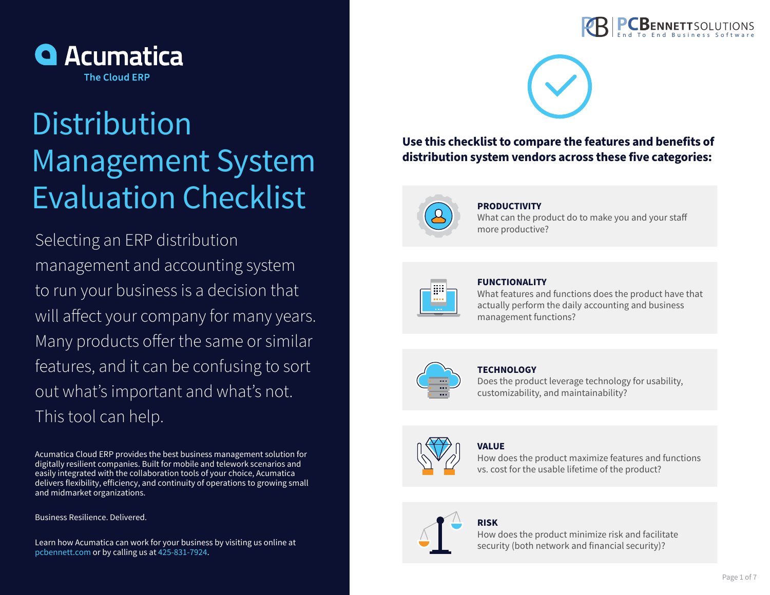



# **Use this checklist to compare the features and benefits of distribution system vendors across these five categories:**



## **PRODUCTIVITY**

What can the product do to make you and your staff more productive?



## **FUNCTIONALITY**

What features and functions does the product have that actually perform the daily accounting and business management functions?



### **TECHNOLOGY**

Does the product leverage technology for usability, customizability, and maintainability?

## **VALUE**  How does the product maximize features and functions

vs. cost for the usable lifetime of the product?

## **RISK**

How does the product minimize risk and facilitate security (both network and financial security)?



# **Distribution** Management System Evaluation Checklist

Selecting an ERP distribution management and accounting system to run your business is a decision that will affect your company for many years. Many products offer the same or similar features, and it can be confusing to sort out what's important and what's not. This tool can help.

Acumatica Cloud ERP provides the best business management solution for digitally resilient companies. Built for mobile and telework scenarios and easily integrated with the collaboration tools of your choice, Acumatica delivers flexibility, efficiency, and continuity of operations to growing small and midmarket organizations.

Business Resilience. Delivered.

Learn how Acumatica can work for your business by visiting us online at pcbennett.com or by calling us at 425-831-7924.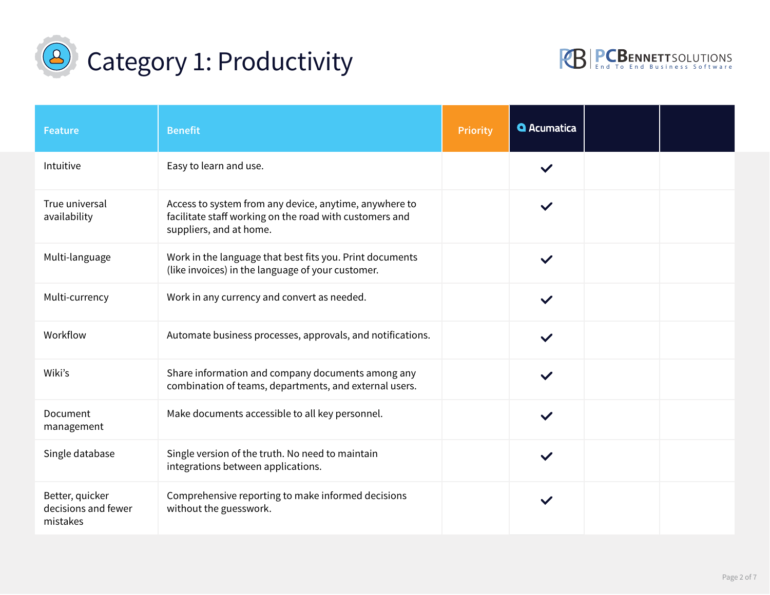



| <b>Feature</b>                                     | <b>Benefit</b>                                                                                                                               | <b>Priority</b>             | <b>Q</b> Acumatica |  |
|----------------------------------------------------|----------------------------------------------------------------------------------------------------------------------------------------------|-----------------------------|--------------------|--|
| Intuitive                                          | Easy to learn and use.                                                                                                                       | $\left  \mathbf{v} \right $ |                    |  |
| True universal<br>availability                     | Access to system from any device, anytime, anywhere to<br>facilitate staff working on the road with customers and<br>suppliers, and at home. | $\vert \cdot \vert$         |                    |  |
| Multi-language                                     | Work in the language that best fits you. Print documents<br>(like invoices) in the language of your customer.                                | $\left  \cdot \right $      | $\checkmark$       |  |
| Multi-currency                                     | Work in any currency and convert as needed.                                                                                                  | $\boxed{\phantom{1}}$       | $\checkmark$       |  |
| Workflow                                           | Automate business processes, approvals, and notifications.                                                                                   | $\vert \textbf{v} \vert$    | $\checkmark$       |  |
| Wiki's                                             | Share information and company documents among any<br>combination of teams, departments, and external users.                                  | $\left  \bullet \right $    | $\checkmark$       |  |
| Document<br>management                             | Make documents accessible to all key personnel.                                                                                              | $\left  \bullet \right $    | $\checkmark$       |  |
| Single database                                    | Single version of the truth. No need to maintain<br>integrations between applications.                                                       | $\left  \bullet \right $    | $\checkmark$       |  |
| Better, quicker<br>decisions and fewer<br>mistakes | Comprehensive reporting to make informed decisions<br>without the guesswork.                                                                 | $\vert \mathbf{v} \vert$    |                    |  |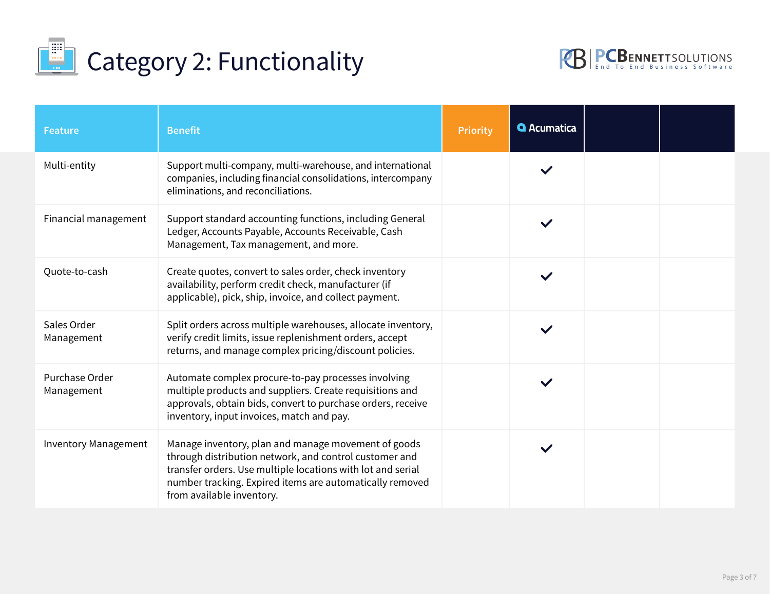



| <b>Feature</b>               | <b>Benefit</b>                                                                                                                                                                                                                                                        | <b>Priority</b>                     | <b>Q</b> Acumatica |  |
|------------------------------|-----------------------------------------------------------------------------------------------------------------------------------------------------------------------------------------------------------------------------------------------------------------------|-------------------------------------|--------------------|--|
| Multi-entity                 | Support multi-company, multi-warehouse, and international<br>companies, including financial consolidations, intercompany<br>eliminations, and reconciliations.                                                                                                        | $ \mathbf{\cdot} $                  |                    |  |
| Financial management         | Support standard accounting functions, including General<br>Ledger, Accounts Payable, Accounts Receivable, Cash<br>Management, Tax management, and more.                                                                                                              | $\left  \cdot \right $              |                    |  |
| Quote-to-cash                | Create quotes, convert to sales order, check inventory<br>availability, perform credit check, manufacturer (if<br>applicable), pick, ship, invoice, and collect payment.                                                                                              | $\left  \cdot \right $              |                    |  |
| Sales Order<br>Management    | Split orders across multiple warehouses, allocate inventory,<br>verify credit limits, issue replenishment orders, accept<br>returns, and manage complex pricing/discount policies.                                                                                    | $\left  \mathbf{v} \right $         |                    |  |
| Purchase Order<br>Management | Automate complex procure-to-pay processes involving<br>multiple products and suppliers. Create requisitions and<br>approvals, obtain bids, convert to purchase orders, receive<br>inventory, input invoices, match and pay.                                           | $\left  \blacktriangledown \right $ |                    |  |
| <b>Inventory Management</b>  | Manage inventory, plan and manage movement of goods<br>through distribution network, and control customer and<br>transfer orders. Use multiple locations with lot and serial<br>number tracking. Expired items are automatically removed<br>from available inventory. | $ \mathord{\text{-}} $              |                    |  |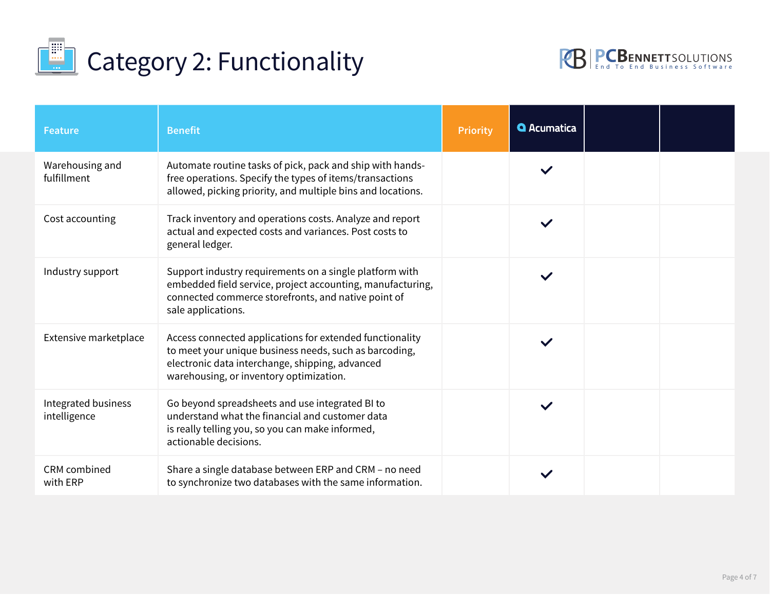



| <b>Feature</b>                      | <b>Benefit</b>                                                                                                                                                                                                   | Priority                    | <b>Q</b> Acumatica |  |
|-------------------------------------|------------------------------------------------------------------------------------------------------------------------------------------------------------------------------------------------------------------|-----------------------------|--------------------|--|
| Warehousing and<br>fulfillment      | Automate routine tasks of pick, pack and ship with hands-<br>free operations. Specify the types of items/transactions<br>allowed, picking priority, and multiple bins and locations.                             | $\left  \mathbf{v} \right $ | $\checkmark$       |  |
| Cost accounting                     | Track inventory and operations costs. Analyze and report<br>actual and expected costs and variances. Post costs to<br>general ledger.                                                                            | $\vert \cdot \vert$         | $\checkmark$       |  |
| Industry support                    | Support industry requirements on a single platform with<br>embedded field service, project accounting, manufacturing,<br>connected commerce storefronts, and native point of<br>sale applications.               | $\left  \mathbf{v} \right $ |                    |  |
| Extensive marketplace               | Access connected applications for extended functionality<br>to meet your unique business needs, such as barcoding,<br>electronic data interchange, shipping, advanced<br>warehousing, or inventory optimization. | $\left  \mathbf{v} \right $ |                    |  |
| Integrated business<br>intelligence | Go beyond spreadsheets and use integrated BI to<br>understand what the financial and customer data<br>is really telling you, so you can make informed,<br>actionable decisions.                                  | $\left  \mathbf{v} \right $ |                    |  |
| CRM combined<br>with ERP            | Share a single database between ERP and CRM - no need<br>to synchronize two databases with the same information.                                                                                                 | $\boxed{\mathbf{r}}$        |                    |  |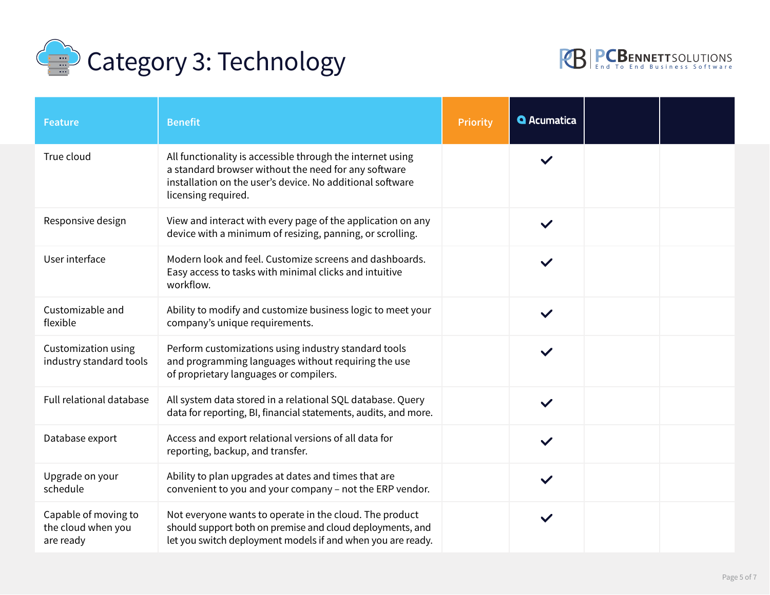



| <b>Feature</b>                                          | <b>Benefit</b>                                                                                                                                                                                         | <b>Priority</b>          | <b>Q</b> Acumatica |  |
|---------------------------------------------------------|--------------------------------------------------------------------------------------------------------------------------------------------------------------------------------------------------------|--------------------------|--------------------|--|
| True cloud                                              | All functionality is accessible through the internet using<br>a standard browser without the need for any software<br>installation on the user's device. No additional software<br>licensing required. | $\left  \bullet \right $ | $\checkmark$       |  |
| Responsive design                                       | View and interact with every page of the application on any<br>device with a minimum of resizing, panning, or scrolling.                                                                               | $\blacktriangledown$     | $\checkmark$       |  |
| User interface                                          | Modern look and feel. Customize screens and dashboards.<br>Easy access to tasks with minimal clicks and intuitive<br>workflow.                                                                         | $\vert$                  | $\checkmark$       |  |
| Customizable and<br>flexible                            | Ability to modify and customize business logic to meet your<br>company's unique requirements.                                                                                                          | $\vert$                  | $\checkmark$       |  |
| Customization using<br>industry standard tools          | Perform customizations using industry standard tools<br>and programming languages without requiring the use<br>of proprietary languages or compilers.                                                  | $\overline{\phantom{a}}$ |                    |  |
| Full relational database                                | All system data stored in a relational SQL database. Query<br>data for reporting, BI, financial statements, audits, and more.                                                                          | $\boxed{\blacksquare}$   | $\checkmark$       |  |
| Database export                                         | Access and export relational versions of all data for<br>reporting, backup, and transfer.                                                                                                              | $\vert \cdot \vert$      | $\checkmark$       |  |
| Upgrade on your<br>schedule                             | Ability to plan upgrades at dates and times that are<br>convenient to you and your company - not the ERP vendor.                                                                                       | $\boxed{\blacksquare}$   |                    |  |
| Capable of moving to<br>the cloud when you<br>are ready | Not everyone wants to operate in the cloud. The product<br>should support both on premise and cloud deployments, and<br>let you switch deployment models if and when you are ready.                    | $\boxed{\blacksquare}$   | $\checkmark$       |  |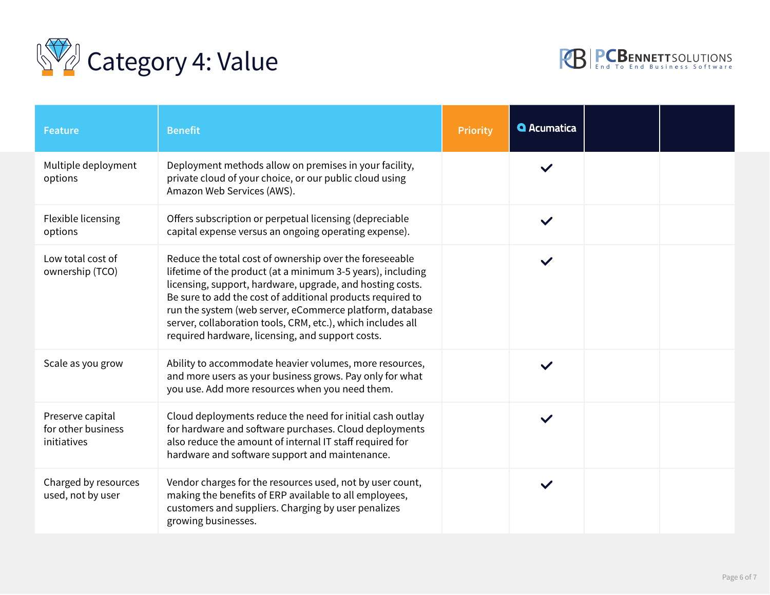



| <b>Feature</b>                                        | <b>Benefit</b>                                                                                                                                                                                                                                                                                                                                                                                                                   | <b>Priority</b>             | <b>Q</b> Acumatica |  |
|-------------------------------------------------------|----------------------------------------------------------------------------------------------------------------------------------------------------------------------------------------------------------------------------------------------------------------------------------------------------------------------------------------------------------------------------------------------------------------------------------|-----------------------------|--------------------|--|
| Multiple deployment<br>options                        | Deployment methods allow on premises in your facility,<br>private cloud of your choice, or our public cloud using<br>Amazon Web Services (AWS).                                                                                                                                                                                                                                                                                  | $\left  \bullet \right $    |                    |  |
| Flexible licensing<br>options                         | Offers subscription or perpetual licensing (depreciable<br>capital expense versus an ongoing operating expense).                                                                                                                                                                                                                                                                                                                 | $\boxed{\blacksquare}$      |                    |  |
| Low total cost of<br>ownership (TCO)                  | Reduce the total cost of ownership over the foreseeable<br>lifetime of the product (at a minimum 3-5 years), including<br>licensing, support, hardware, upgrade, and hosting costs.<br>Be sure to add the cost of additional products required to<br>run the system (web server, eCommerce platform, database<br>server, collaboration tools, CRM, etc.), which includes all<br>required hardware, licensing, and support costs. | $\left  \bullet \right $    |                    |  |
| Scale as you grow                                     | Ability to accommodate heavier volumes, more resources,<br>and more users as your business grows. Pay only for what<br>you use. Add more resources when you need them.                                                                                                                                                                                                                                                           | $\left  \mathbf{v} \right $ |                    |  |
| Preserve capital<br>for other business<br>initiatives | Cloud deployments reduce the need for initial cash outlay<br>for hardware and software purchases. Cloud deployments<br>also reduce the amount of internal IT staff required for<br>hardware and software support and maintenance.                                                                                                                                                                                                | $\blacktriangledown$        |                    |  |
| Charged by resources<br>used, not by user             | Vendor charges for the resources used, not by user count,<br>making the benefits of ERP available to all employees,<br>customers and suppliers. Charging by user penalizes<br>growing businesses.                                                                                                                                                                                                                                | $\blacktriangleleft$        |                    |  |